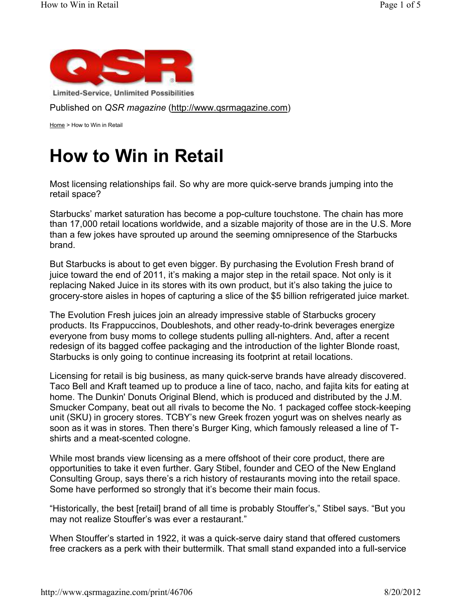

Limited-Service, Unlimited Possibilities

Published on *QSR magazine* (http://www.qsrmagazine.com)

Home > How to Win in Retail

## **How to Win in Retail**

Most licensing relationships fail. So why are more quick-serve brands jumping into the retail space?

Starbucks' market saturation has become a pop-culture touchstone. The chain has more than 17,000 retail locations worldwide, and a sizable majority of those are in the U.S. More than a few jokes have sprouted up around the seeming omnipresence of the Starbucks brand.

But Starbucks is about to get even bigger. By purchasing the Evolution Fresh brand of juice toward the end of 2011, it's making a major step in the retail space. Not only is it replacing Naked Juice in its stores with its own product, but it's also taking the juice to grocery-store aisles in hopes of capturing a slice of the \$5 billion refrigerated juice market.

The Evolution Fresh juices join an already impressive stable of Starbucks grocery products. Its Frappuccinos, Doubleshots, and other ready-to-drink beverages energize everyone from busy moms to college students pulling all-nighters. And, after a recent redesign of its bagged coffee packaging and the introduction of the lighter Blonde roast, Starbucks is only going to continue increasing its footprint at retail locations.

Licensing for retail is big business, as many quick-serve brands have already discovered. Taco Bell and Kraft teamed up to produce a line of taco, nacho, and fajita kits for eating at home. The Dunkin' Donuts Original Blend, which is produced and distributed by the J.M. Smucker Company, beat out all rivals to become the No. 1 packaged coffee stock-keeping unit (SKU) in grocery stores. TCBY's new Greek frozen yogurt was on shelves nearly as soon as it was in stores. Then there's Burger King, which famously released a line of Tshirts and a meat-scented cologne.

While most brands view licensing as a mere offshoot of their core product, there are opportunities to take it even further. Gary Stibel, founder and CEO of the New England Consulting Group, says there's a rich history of restaurants moving into the retail space. Some have performed so strongly that it's become their main focus.

"Historically, the best [retail] brand of all time is probably Stouffer's," Stibel says. "But you may not realize Stouffer's was ever a restaurant."

When Stouffer's started in 1922, it was a quick-serve dairy stand that offered customers free crackers as a perk with their buttermilk. That small stand expanded into a full-service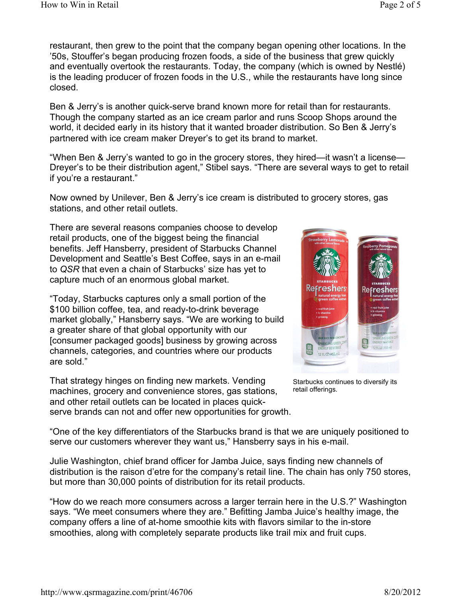restaurant, then grew to the point that the company began opening other locations. In the '50s, Stouffer's began producing frozen foods, a side of the business that grew quickly and eventually overtook the restaurants. Today, the company (which is owned by Nestlé) is the leading producer of frozen foods in the U.S., while the restaurants have long since closed.

Ben & Jerry's is another quick-serve brand known more for retail than for restaurants. Though the company started as an ice cream parlor and runs Scoop Shops around the world, it decided early in its history that it wanted broader distribution. So Ben & Jerry's partnered with ice cream maker Dreyer's to get its brand to market.

"When Ben & Jerry's wanted to go in the grocery stores, they hired—it wasn't a license— Dreyer's to be their distribution agent," Stibel says. "There are several ways to get to retail if you're a restaurant."

Now owned by Unilever, Ben & Jerry's ice cream is distributed to grocery stores, gas stations, and other retail outlets.

There are several reasons companies choose to develop retail products, one of the biggest being the financial benefits. Jeff Hansberry, president of Starbucks Channel Development and Seattle's Best Coffee, says in an e-mail to *QSR* that even a chain of Starbucks' size has yet to capture much of an enormous global market.

"Today, Starbucks captures only a small portion of the \$100 billion coffee, tea, and ready-to-drink beverage market globally," Hansberry says. "We are working to build a greater share of that global opportunity with our [consumer packaged goods] business by growing across channels, categories, and countries where our products are sold."

That strategy hinges on finding new markets. Vending machines, grocery and convenience stores, gas stations, and other retail outlets can be located in places quickserve brands can not and offer new opportunities for growth.



Starbucks continues to diversify its retail offerings.

"One of the key differentiators of the Starbucks brand is that we are uniquely positioned to serve our customers wherever they want us," Hansberry says in his e-mail.

Julie Washington, chief brand officer for Jamba Juice, says finding new channels of distribution is the raison d'etre for the company's retail line. The chain has only 750 stores, but more than 30,000 points of distribution for its retail products.

"How do we reach more consumers across a larger terrain here in the U.S.?" Washington says. "We meet consumers where they are." Befitting Jamba Juice's healthy image, the company offers a line of at-home smoothie kits with flavors similar to the in-store smoothies, along with completely separate products like trail mix and fruit cups.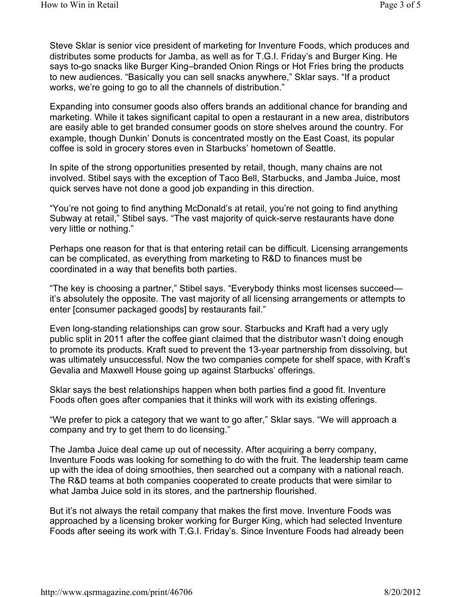Steve Sklar is senior vice president of marketing for Inventure Foods, which produces and distributes some products for Jamba, as well as for T.G.I. Friday's and Burger King. He says to-go snacks like Burger King–branded Onion Rings or Hot Fries bring the products to new audiences. "Basically you can sell snacks anywhere," Sklar says. "If a product works, we're going to go to all the channels of distribution."

Expanding into consumer goods also offers brands an additional chance for branding and marketing. While it takes significant capital to open a restaurant in a new area, distributors are easily able to get branded consumer goods on store shelves around the country. For example, though Dunkin' Donuts is concentrated mostly on the East Coast, its popular coffee is sold in grocery stores even in Starbucks' hometown of Seattle.

In spite of the strong opportunities presented by retail, though, many chains are not involved. Stibel says with the exception of Taco Bell, Starbucks, and Jamba Juice, most quick serves have not done a good job expanding in this direction.

"You're not going to find anything McDonald's at retail, you're not going to find anything Subway at retail," Stibel says. "The vast majority of quick-serve restaurants have done very little or nothing."

Perhaps one reason for that is that entering retail can be difficult. Licensing arrangements can be complicated, as everything from marketing to R&D to finances must be coordinated in a way that benefits both parties.

"The key is choosing a partner," Stibel says. "Everybody thinks most licenses succeed it's absolutely the opposite. The vast majority of all licensing arrangements or attempts to enter [consumer packaged goods] by restaurants fail."

Even long-standing relationships can grow sour. Starbucks and Kraft had a very ugly public split in 2011 after the coffee giant claimed that the distributor wasn't doing enough to promote its products. Kraft sued to prevent the 13-year partnership from dissolving, but was ultimately unsuccessful. Now the two companies compete for shelf space, with Kraft's Gevalia and Maxwell House going up against Starbucks' offerings.

Sklar says the best relationships happen when both parties find a good fit. Inventure Foods often goes after companies that it thinks will work with its existing offerings.

"We prefer to pick a category that we want to go after," Sklar says. "We will approach a company and try to get them to do licensing."

The Jamba Juice deal came up out of necessity. After acquiring a berry company, Inventure Foods was looking for something to do with the fruit. The leadership team came up with the idea of doing smoothies, then searched out a company with a national reach. The R&D teams at both companies cooperated to create products that were similar to what Jamba Juice sold in its stores, and the partnership flourished.

But it's not always the retail company that makes the first move. Inventure Foods was approached by a licensing broker working for Burger King, which had selected Inventure Foods after seeing its work with T.G.I. Friday's. Since Inventure Foods had already been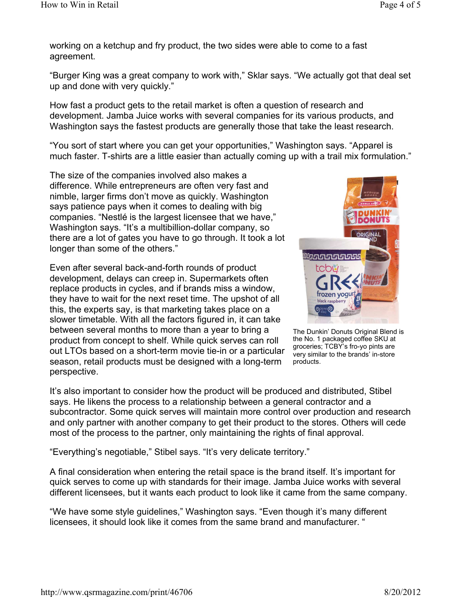working on a ketchup and fry product, the two sides were able to come to a fast agreement.

"Burger King was a great company to work with," Sklar says. "We actually got that deal set up and done with very quickly."

How fast a product gets to the retail market is often a question of research and development. Jamba Juice works with several companies for its various products, and Washington says the fastest products are generally those that take the least research.

"You sort of start where you can get your opportunities," Washington says. "Apparel is much faster. T-shirts are a little easier than actually coming up with a trail mix formulation."

The size of the companies involved also makes a difference. While entrepreneurs are often very fast and nimble, larger firms don't move as quickly. Washington says patience pays when it comes to dealing with big companies. "Nestlé is the largest licensee that we have," Washington says. "It's a multibillion-dollar company, so there are a lot of gates you have to go through. It took a lot longer than some of the others."

Even after several back-and-forth rounds of product development, delays can creep in. Supermarkets often replace products in cycles, and if brands miss a window, they have to wait for the next reset time. The upshot of all this, the experts say, is that marketing takes place on a slower timetable. With all the factors figured in, it can take between several months to more than a year to bring a product from concept to shelf. While quick serves can roll out LTOs based on a short-term movie tie-in or a particular season, retail products must be designed with a long-term perspective.



The Dunkin' Donuts Original Blend is the No. 1 packaged coffee SKU at groceries; TCBY's fro-yo pints are very similar to the brands' in-store products.

It's also important to consider how the product will be produced and distributed, Stibel says. He likens the process to a relationship between a general contractor and a subcontractor. Some quick serves will maintain more control over production and research and only partner with another company to get their product to the stores. Others will cede most of the process to the partner, only maintaining the rights of final approval.

"Everything's negotiable," Stibel says. "It's very delicate territory."

A final consideration when entering the retail space is the brand itself. It's important for quick serves to come up with standards for their image. Jamba Juice works with several different licensees, but it wants each product to look like it came from the same company.

"We have some style guidelines," Washington says. "Even though it's many different licensees, it should look like it comes from the same brand and manufacturer. "